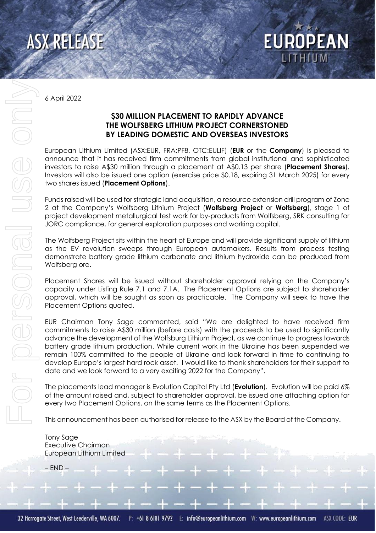

**EUROPEAN** 

6 April 2022

## **\$30 MILLION PLACEMENT TO RAPIDLY ADVANCE THE WOLFSBERG LITHIUM PROJECT CORNERSTONED BY LEADING DOMESTIC AND OVERSEAS INVESTORS**

European Lithium Limited (ASX:EUR, FRA:PF8, OTC:EULIF) (**EUR** or the **Company**) is pleased to announce that it has received firm commitments from global institutional and sophisticated investors to raise A\$30 million through a placement at A\$0.13 per share (**Placement Shares**). Investors will also be issued one option (exercise price \$0.18, expiring 31 March 2025) for every two shares issued (**Placement Options**).

Funds raised will be used for strategic land acquisition, a resource extension drill program of Zone 2 at the Company's Wolfsberg Lithium Project (**Wolfsberg Project** or **Wolfsberg**), stage 1 of project development metallurgical test work for by-products from Wolfsberg, SRK consulting for JORC compliance, for general exploration purposes and working capital.

The Wolfsberg Project sits within the heart of Europe and will provide significant supply of lithium as the EV revolution sweeps through European automakers. Results from process testing demonstrate battery grade lithium carbonate and lithium hydroxide can be produced from Wolfsberg ore.

Placement Shares will be issued without shareholder approval relying on the Company's capacity under Listing Rule 7.1 and 7.1A. The Placement Options are subject to shareholder approval, which will be sought as soon as practicable. The Company will seek to have the Placement Options quoted.

EUR Chairman Tony Sage commented, said "We are delighted to have received firm commitments to raise A\$30 million (before costs) with the proceeds to be used to significantly advance the development of the Wolfsburg Lithium Project, as we continue to progress towards battery grade lithium production. While current work in the Ukraine has been suspended we remain 100% committed to the people of Ukraine and look forward in time to continuing to develop Europe's largest hard rock asset. I would like to thank shareholders for their support to date and we look forward to a very exciting 2022 for the Company".

The placements lead manager is Evolution Capital Pty Ltd (**Evolution**). Evolution will be paid 6% of the amount raised and, subject to shareholder approval, be issued one attaching option for every two Placement Options, on the same terms as the Placement Options.

This announcement has been authorised for release to the ASX by the Board of the Company.

Tony Sage Executive Chairman European Lithium Limited

– END –